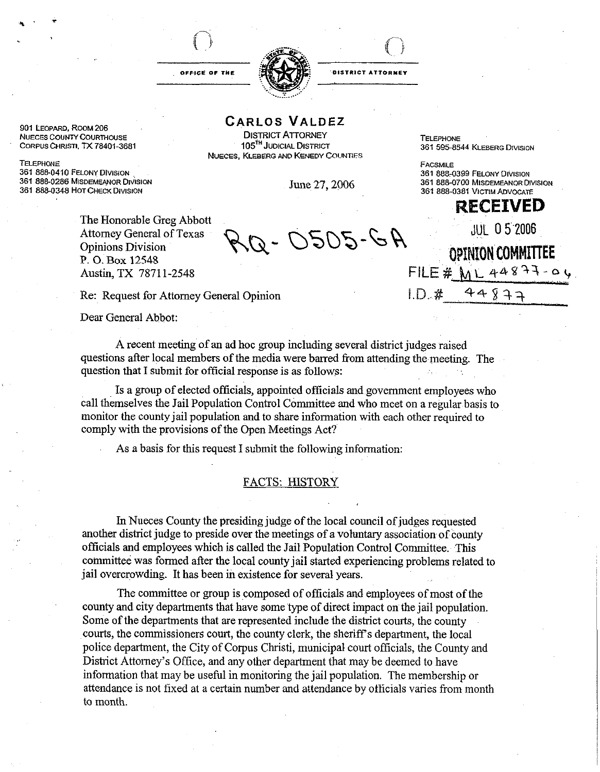





CARLOS VALDEZ

NUECES COUNTY COURTHOUSE **DISTRICT ATTORNEY** TELEPHONE **TELEPHONE**<br>CORPUS CHRISTI, TX 78401-3681 **DISTRICT ATTORNEY ISSUED** SET RICH 281 595-85 **NUECES, KLEBERG AND KENEDY COUNTIES** 

**June 27, 2006 361 888-0700 MISDEMEANOR DIVISION** 

**901 LEOPARD, ROOM 206** 

**TELEPHONE 361 888-0410 FELONY DIVISION** 361 888-0286 MISDEMEANOR DIVISION **361 888-0348 HOT CHECK DIVISION** 

> The Honorable Greg Abbott Attorney General of Texas P. 0. Box 12548 Austin, TX 78711-2548

Re: Request for Attorney General Opinion I.D...# 44933

Dear General Abbot:

A recent meeting of an ad hoc group including several district judges raised questions after local members of the media were barred from attending the meeting. The question that I submit for official response is as follows:

Is a group of elected officials, appointed officials and government employees who call themselves the Jail Population Control Committee and who **meet** on a regularbasis to monitor the county jail population and to share information with each other required to comply with the provisions of the Open Meetings Act?

As a basis for this request I submit the following information:

## FACTS: HISTORY

In Nueces County the presiding judge of the local council of judges requested another district judge to preside over the meetings of a voluntary association of county officials and employees which is called the Jail Population Control Committee. This committee was formed after the local county jail started experiencing problems related to jail overcrowding. It has been in existence for several years.

The committee or group is composed of officials and employees of most of the county and city departments that have some 'type of direct impact on the jail population. Some of the departments that are represented include the district courts, the county courts, the commissioners court, the county clerk, the sheriff's department, the local police department, the City of Corpus Christi, municipal court officials, the County and District Attorney's Office, and any other department that may be deemed to have information that may be useful in monitoring fhe jail population. The membership or attendance is not fixed at a certain number and attendance by officials varies from month to month.

**361 888-0381 VICTIM ADVOCATE ECEEIWED JUL 05 2006** Attorney General of Texas  $\bigotimes_{\mathbb{Q}}\mathbb{Q}$  -  $\bigcirc$  505 - G A ppINION COMMITTEE  $FILE# WLA4877 - 94$ 

**361 595-8544 KLEBERG DIVISION** 

**361 888-0399 FELONY DIVISION** 

**FACSMILE**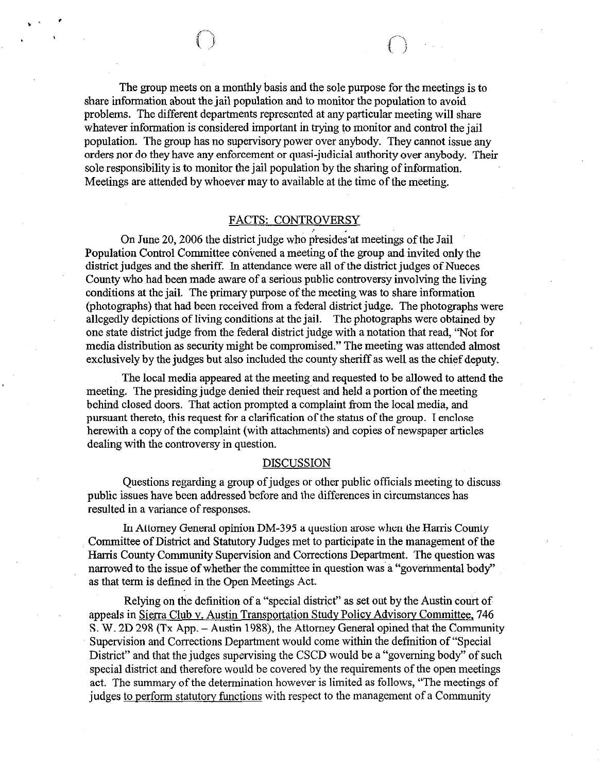The group meets on a monthly basis and the sole purpose for the meetings is to share information about the jail population and to monitor the population to avoid problems. The different departments represented at any particular meeting will share whatever information is considered important in trying to monitor and control the jail population. The group has no supervisory power over anybody. They cannot issue any orders nor do they have any enforcement or quasi-judicial authority over anybody. Their sole responsibility is to monitor the jail population by the sharing of information. Meetings are attended by whoever may to available at the time of the meeting.

## FACTS: CONTROVERSY

On June 20,2006 the district judge who presides'at meetings of the Jail Population Control Committee convened a meeting of the group and invited only the district judges and the sheriff. In attendance were all of the district judges of Nueces County who had been made aware of a serious public controversy involving the living conditions at the jail. The primary purpose of the meeting was to share information (photographs) that had been received from a federal district judge. The photographs were allegedly depictions of living conditions at the jail. The photographs were obtained by one state district judge from the federal district judge with a notation that read, "Not for media distribution as security might be compromised." The meeting was attended almost exclusively by the judges but also included the county sheriff as well as the chief deputy.

The local media appeared at the meeting and requested to be allowed to attend the meeting. The presiding judge denied their request and held a portion of the meeting behind closed doors, That action prompted a complaint from the local media, and pursuant thereto, this request for a clarification of the status of the group. I enclose herewith a copy of the complaint (with attachments) and copies of newspaper articles dealing with the controversy in question.

## DISCUSSION

Questions regarding a group of judges or other public officials meeting to discuss public issues have been addressed before and the differences in circumstances has resulted in a variance of responses.

In Attorney General opinion DM-395 a question arose when the Harris County Committee of District and Statutory Judges met to participate in the management of the Harris County Community Supervision and Corrections Department. The question was narrowed to the issue of whether the committee in question was a "governmental body" as that term is defined in the Open Meetings Act.

Relying on the definition of a "special district" as set out by the Austin court of appeals in Sierra Club v. Austin Transportation Study Policy Advisorv Committee. 746 S. W. 2D 298 (Tx App. – Austin 1988), the Attorney General opined that the Community Supervision and Corrections Department would come within the definition of "Special District" and that the judges supervising the CSCD would be a "governing body" of such special district and therefore would be covered by the requirements of the open meetings act. The summary of the determination however is limited as follows, "The meetings of judges to perform statutory functions with respect to the management of a Community